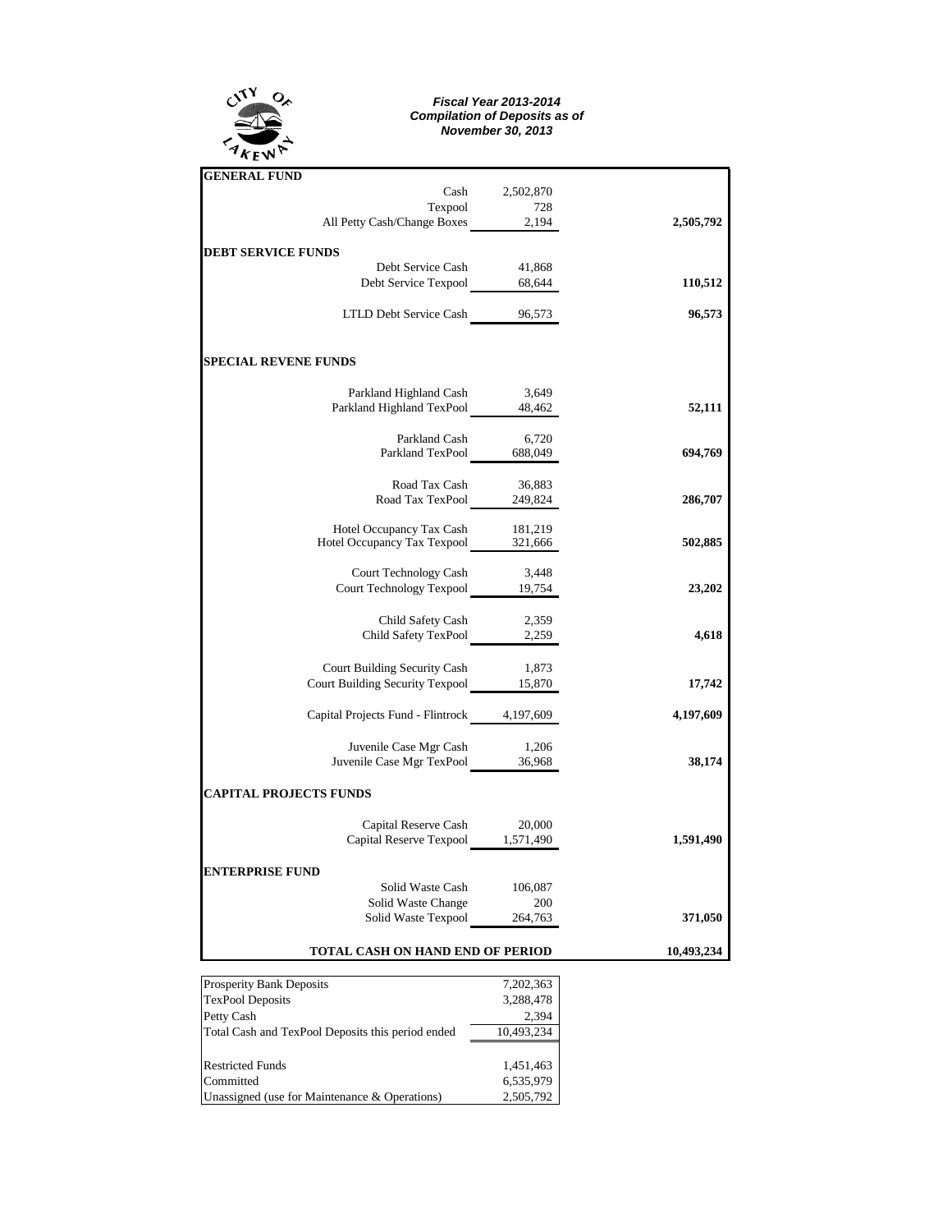

## *Fiscal Year 2013-2014 Compilation of Deposits as of November 30, 2013*

| <b>GENERAL FUND</b>                                                     |           |            |
|-------------------------------------------------------------------------|-----------|------------|
| Cash                                                                    | 2,502,870 |            |
| Texpool 728<br>All Petty Cash/Change Boxes 2,194                        |           |            |
|                                                                         |           | 2,505,792  |
| <b>DEBT SERVICE FUNDS</b>                                               |           |            |
| Debt Service Cash                                                       | 41,868    |            |
| Debt Service Texpool 68,644                                             |           | 110,512    |
|                                                                         |           |            |
| LTLD Debt Service Cash 96,573                                           |           | 96,573     |
|                                                                         |           |            |
| <b>SPECIAL REVENE FUNDS</b>                                             |           |            |
| Parkland Highland Cash 3,649                                            |           |            |
| Parkland Highland TexPool 48,462                                        |           | 52,111     |
|                                                                         |           |            |
| Parkland Cash<br>Parkland Cash 6,720<br>Parkland TexPool 688,049        | 6,720     |            |
|                                                                         |           | 694,769    |
| Road Tax Cash                                                           | 36,883    |            |
| Road Tax TexPool 249,824                                                |           | 286,707    |
|                                                                         |           |            |
| Hotel Occupancy Tax Cash 181,219<br>Hotel Occupancy Tax Texpool 321,666 |           |            |
|                                                                         |           | 502,885    |
| Court Technology Cash                                                   | 3,448     |            |
| Court Technology Cash 5,448<br>Court Technology Texpool 19,754          |           | 23,202     |
|                                                                         |           |            |
| Child Safety Cash                                                       | 2,359     |            |
| Child Safety TexPool 2,259                                              |           | 4,618      |
|                                                                         |           |            |
| Court Building Security Cash<br>Court Building Security Texpool 15,870  | 1,873     |            |
|                                                                         |           | 17,742     |
| Capital Projects Fund - Flintrock 4,197,609                             |           | 4,197,609  |
|                                                                         |           |            |
| Juvenile Case Mgr Cash 1,206<br>Juvenile Case Mgr TexPool 36,968        |           |            |
|                                                                         |           | 38,174     |
| <b>CAPITAL PROJECTS FUNDS</b>                                           |           |            |
|                                                                         |           |            |
| Capital Reserve Cash 20,000<br>Capital Reserve Texpool 1,571,490        |           | 1,591,490  |
|                                                                         |           |            |
| <b>ENTERPRISE FUND</b>                                                  |           |            |
| Solid Waste Cash 106,087                                                |           |            |
| Solid Waste Change 200<br>Solid Waste Texpool 264,763                   |           |            |
|                                                                         |           | 371,050    |
| TOTAL CASH ON HAND END OF PERIOD                                        |           | 10,493,234 |

| <b>Prosperity Bank Deposits</b>                   | 7,202,363  |  |  |  |
|---------------------------------------------------|------------|--|--|--|
| <b>TexPool Deposits</b>                           | 3,288,478  |  |  |  |
| Petty Cash                                        | 2,394      |  |  |  |
| Total Cash and TexPool Deposits this period ended | 10,493,234 |  |  |  |
|                                                   |            |  |  |  |
| <b>Restricted Funds</b>                           | 1,451,463  |  |  |  |
| Committed                                         | 6,535,979  |  |  |  |
| Unassigned (use for Maintenance & Operations)     | 2,505,792  |  |  |  |